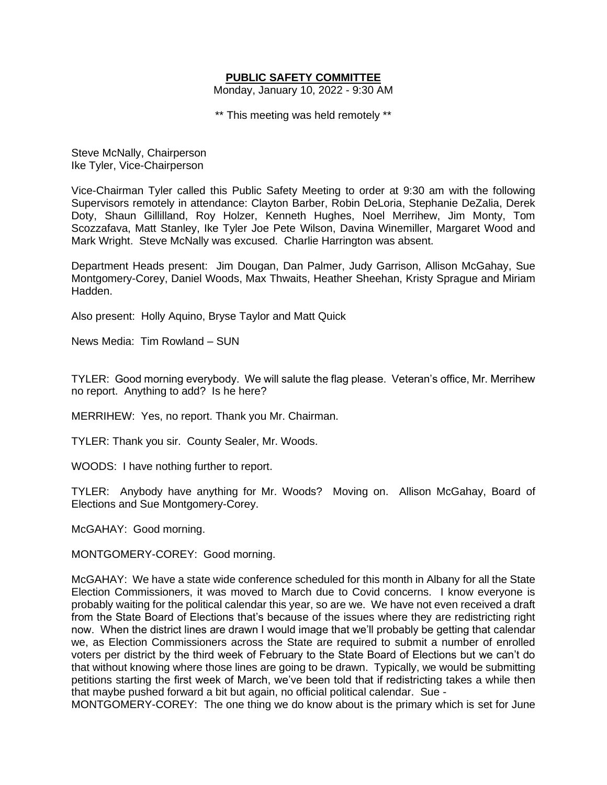## **PUBLIC SAFETY COMMITTEE**

Monday, January 10, 2022 - 9:30 AM

\*\* This meeting was held remotely \*\*

Steve McNally, Chairperson Ike Tyler, Vice-Chairperson

Vice-Chairman Tyler called this Public Safety Meeting to order at 9:30 am with the following Supervisors remotely in attendance: Clayton Barber, Robin DeLoria, Stephanie DeZalia, Derek Doty, Shaun Gillilland, Roy Holzer, Kenneth Hughes, Noel Merrihew, Jim Monty, Tom Scozzafava, Matt Stanley, Ike Tyler Joe Pete Wilson, Davina Winemiller, Margaret Wood and Mark Wright. Steve McNally was excused. Charlie Harrington was absent.

Department Heads present: Jim Dougan, Dan Palmer, Judy Garrison, Allison McGahay, Sue Montgomery-Corey, Daniel Woods, Max Thwaits, Heather Sheehan, Kristy Sprague and Miriam Hadden.

Also present: Holly Aquino, Bryse Taylor and Matt Quick

News Media: Tim Rowland – SUN

TYLER: Good morning everybody. We will salute the flag please. Veteran's office, Mr. Merrihew no report. Anything to add? Is he here?

MERRIHEW: Yes, no report. Thank you Mr. Chairman.

TYLER: Thank you sir. County Sealer, Mr. Woods.

WOODS: I have nothing further to report.

TYLER: Anybody have anything for Mr. Woods? Moving on. Allison McGahay, Board of Elections and Sue Montgomery-Corey.

McGAHAY: Good morning.

MONTGOMERY-COREY: Good morning.

McGAHAY: We have a state wide conference scheduled for this month in Albany for all the State Election Commissioners, it was moved to March due to Covid concerns. I know everyone is probably waiting for the political calendar this year, so are we. We have not even received a draft from the State Board of Elections that's because of the issues where they are redistricting right now. When the district lines are drawn I would image that we'll probably be getting that calendar we, as Election Commissioners across the State are required to submit a number of enrolled voters per district by the third week of February to the State Board of Elections but we can't do that without knowing where those lines are going to be drawn. Typically, we would be submitting petitions starting the first week of March, we've been told that if redistricting takes a while then that maybe pushed forward a bit but again, no official political calendar. Sue -

MONTGOMERY-COREY: The one thing we do know about is the primary which is set for June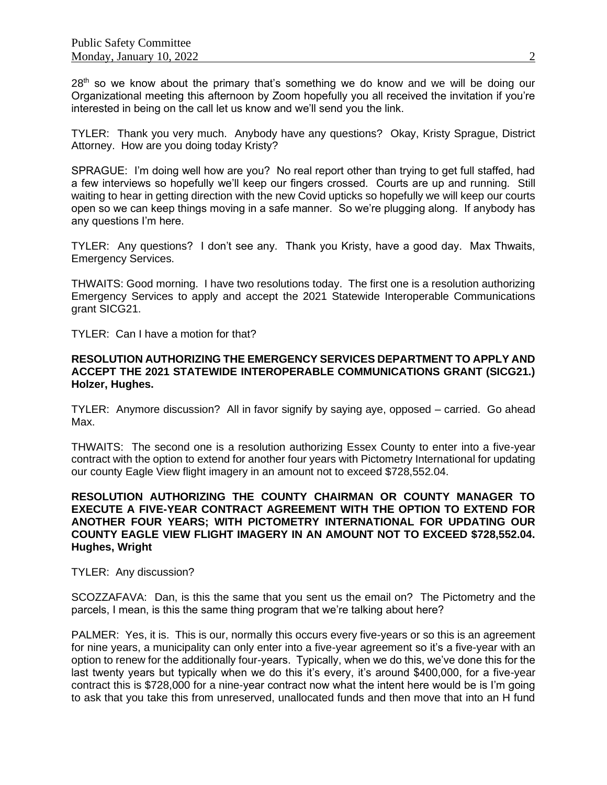28<sup>th</sup> so we know about the primary that's something we do know and we will be doing our Organizational meeting this afternoon by Zoom hopefully you all received the invitation if you're interested in being on the call let us know and we'll send you the link.

TYLER: Thank you very much. Anybody have any questions? Okay, Kristy Sprague, District Attorney. How are you doing today Kristy?

SPRAGUE: I'm doing well how are you? No real report other than trying to get full staffed, had a few interviews so hopefully we'll keep our fingers crossed. Courts are up and running. Still waiting to hear in getting direction with the new Covid upticks so hopefully we will keep our courts open so we can keep things moving in a safe manner. So we're plugging along. If anybody has any questions I'm here.

TYLER: Any questions? I don't see any. Thank you Kristy, have a good day. Max Thwaits, Emergency Services.

THWAITS: Good morning. I have two resolutions today. The first one is a resolution authorizing Emergency Services to apply and accept the 2021 Statewide Interoperable Communications grant SICG21.

TYLER: Can I have a motion for that?

## **RESOLUTION AUTHORIZING THE EMERGENCY SERVICES DEPARTMENT TO APPLY AND ACCEPT THE 2021 STATEWIDE INTEROPERABLE COMMUNICATIONS GRANT (SICG21.) Holzer, Hughes.**

TYLER: Anymore discussion? All in favor signify by saying aye, opposed – carried. Go ahead Max.

THWAITS: The second one is a resolution authorizing Essex County to enter into a five-year contract with the option to extend for another four years with Pictometry International for updating our county Eagle View flight imagery in an amount not to exceed \$728,552.04.

## **RESOLUTION AUTHORIZING THE COUNTY CHAIRMAN OR COUNTY MANAGER TO EXECUTE A FIVE-YEAR CONTRACT AGREEMENT WITH THE OPTION TO EXTEND FOR ANOTHER FOUR YEARS; WITH PICTOMETRY INTERNATIONAL FOR UPDATING OUR COUNTY EAGLE VIEW FLIGHT IMAGERY IN AN AMOUNT NOT TO EXCEED \$728,552.04. Hughes, Wright**

TYLER: Any discussion?

SCOZZAFAVA: Dan, is this the same that you sent us the email on? The Pictometry and the parcels, I mean, is this the same thing program that we're talking about here?

PALMER: Yes, it is. This is our, normally this occurs every five-years or so this is an agreement for nine years, a municipality can only enter into a five-year agreement so it's a five-year with an option to renew for the additionally four-years. Typically, when we do this, we've done this for the last twenty years but typically when we do this it's every, it's around \$400,000, for a five-year contract this is \$728,000 for a nine-year contract now what the intent here would be is I'm going to ask that you take this from unreserved, unallocated funds and then move that into an H fund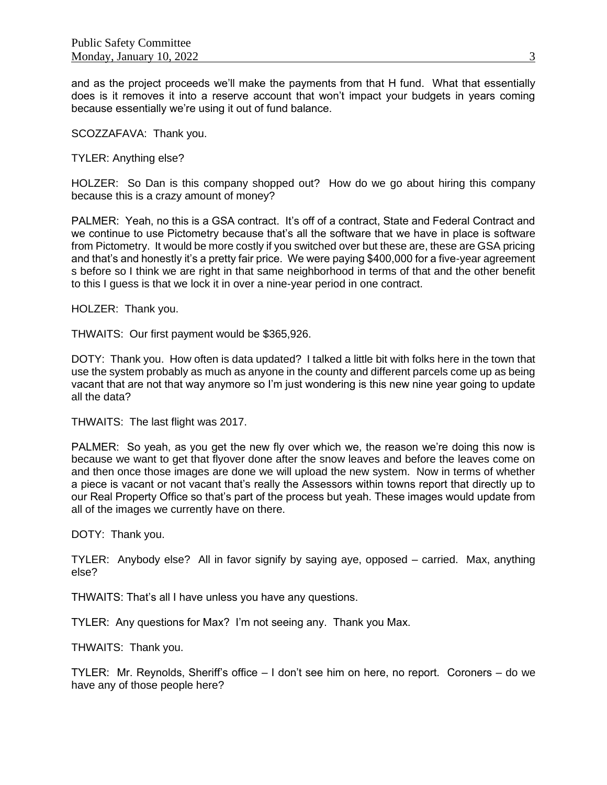and as the project proceeds we'll make the payments from that H fund. What that essentially does is it removes it into a reserve account that won't impact your budgets in years coming because essentially we're using it out of fund balance.

SCOZZAFAVA: Thank you.

TYLER: Anything else?

HOLZER: So Dan is this company shopped out? How do we go about hiring this company because this is a crazy amount of money?

PALMER: Yeah, no this is a GSA contract. It's off of a contract, State and Federal Contract and we continue to use Pictometry because that's all the software that we have in place is software from Pictometry. It would be more costly if you switched over but these are, these are GSA pricing and that's and honestly it's a pretty fair price. We were paying \$400,000 for a five-year agreement s before so I think we are right in that same neighborhood in terms of that and the other benefit to this I guess is that we lock it in over a nine-year period in one contract.

HOLZER: Thank you.

THWAITS: Our first payment would be \$365,926.

DOTY: Thank you. How often is data updated? I talked a little bit with folks here in the town that use the system probably as much as anyone in the county and different parcels come up as being vacant that are not that way anymore so I'm just wondering is this new nine year going to update all the data?

THWAITS: The last flight was 2017.

PALMER: So yeah, as you get the new fly over which we, the reason we're doing this now is because we want to get that flyover done after the snow leaves and before the leaves come on and then once those images are done we will upload the new system. Now in terms of whether a piece is vacant or not vacant that's really the Assessors within towns report that directly up to our Real Property Office so that's part of the process but yeah. These images would update from all of the images we currently have on there.

DOTY: Thank you.

TYLER: Anybody else? All in favor signify by saying aye, opposed – carried. Max, anything else?

THWAITS: That's all I have unless you have any questions.

TYLER: Any questions for Max? I'm not seeing any. Thank you Max.

THWAITS: Thank you.

TYLER: Mr. Reynolds, Sheriff's office – I don't see him on here, no report. Coroners – do we have any of those people here?